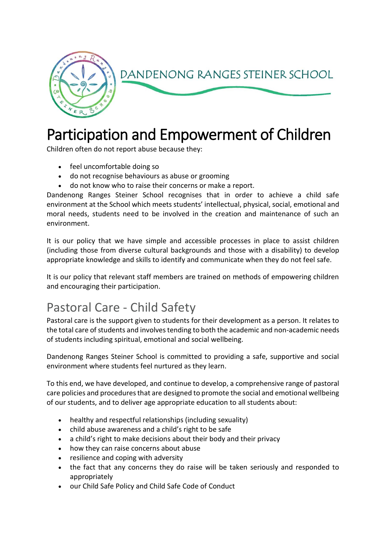

## Participation and Empowerment of Children

Children often do not report abuse because they:

- feel uncomfortable doing so
- do not recognise behaviours as abuse or grooming
- do not know who to raise their concerns or make a report.

Dandenong Ranges Steiner School recognises that in order to achieve a child safe environment at the School which meets students' intellectual, physical, social, emotional and moral needs, students need to be involved in the creation and maintenance of such an environment.

It is our policy that we have simple and accessible processes in place to assist children (including those from diverse cultural backgrounds and those with a disability) to develop appropriate knowledge and skills to identify and communicate when they do not feel safe.

It is our policy that relevant staff members are trained on methods of empowering children and encouraging their participation.

## Pastoral Care - Child Safety

Pastoral care is the support given to students for their development as a person. It relates to the total care of students and involves tending to both the academic and non-academic needs of students including spiritual, emotional and social wellbeing.

Dandenong Ranges Steiner School is committed to providing a safe, supportive and social environment where students feel nurtured as they learn.

To this end, we have developed, and continue to develop, a comprehensive range of pastoral care policies and procedures that are designed to promote the social and emotional wellbeing of our students, and to deliver age appropriate education to all students about:

- healthy and respectful relationships (including sexuality)
- child abuse awareness and a child's right to be safe
- a child's right to make decisions about their body and their privacy
- how they can raise concerns about abuse
- resilience and coping with adversity
- the fact that any concerns they do raise will be taken seriously and responded to appropriately
- our Child Safe Policy and Child Safe Code of Conduct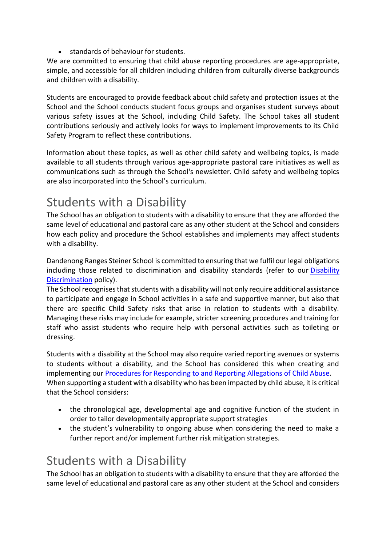• standards of behaviour for students.

We are committed to ensuring that child abuse reporting procedures are age-appropriate, simple, and accessible for all children including children from culturally diverse backgrounds and children with a disability.

Students are encouraged to provide feedback about child safety and protection issues at the School and the School conducts student focus groups and organises student surveys about various safety issues at the School, including Child Safety. The School takes all student contributions seriously and actively looks for ways to implement improvements to its Child Safety Program to reflect these contributions.

Information about these topics, as well as other child safety and wellbeing topics, is made available to all students through various age-appropriate pastoral care initiatives as well as communications such as through the School's newsletter. Child safety and wellbeing topics are also incorporated into the School's curriculum.

## Students with a Disability

The School has an obligation to students with a disability to ensure that they are afforded the same level of educational and pastoral care as any other student at the School and considers how each policy and procedure the School establishes and implements may affect students with a disability.

Dandenong Ranges Steiner School is committed to ensuring that we fulfil our legal obligations including those related to discrimination and disability standards (refer to our [Disability](https://drss.complispaceprimary.com.au/module/51/page/b3b8ce5a-25dc-4e40-a6cf-b12e295e5b61.md)  [Discrimination](https://drss.complispaceprimary.com.au/module/51/page/b3b8ce5a-25dc-4e40-a6cf-b12e295e5b61.md) policy).

The School recognises that students with a disability will not only require additional assistance to participate and engage in School activities in a safe and supportive manner, but also that there are specific Child Safety risks that arise in relation to students with a disability. Managing these risks may include for example, stricter screening procedures and training for staff who assist students who require help with personal activities such as toileting or dressing.

Students with a disability at the School may also require varied reporting avenues or systems to students without a disability, and the School has considered this when creating and implementing our [Procedures for Responding to and Reporting Allegations of Child Abuse.](https://drss.complispaceprimary.com.au/module/53/page/94e76c02-f4c2-432b-b7b2-c4ecefc56db9.md) When supporting a student with a disability who has been impacted by child abuse, it is critical that the School considers:

- the chronological age, developmental age and cognitive function of the student in order to tailor developmentally appropriate support strategies
- the student's vulnerability to ongoing abuse when considering the need to make a further report and/or implement further risk mitigation strategies.

## Students with a Disability

The School has an obligation to students with a disability to ensure that they are afforded the same level of educational and pastoral care as any other student at the School and considers